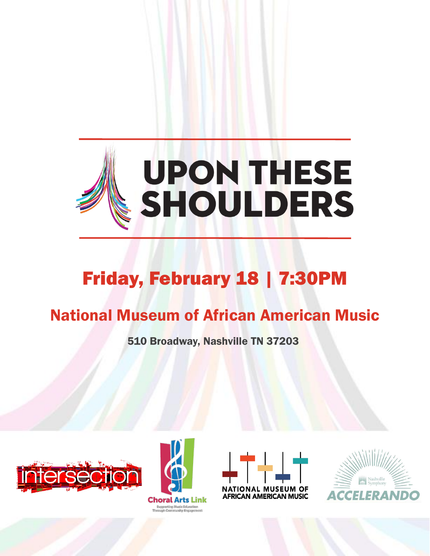

# Friday, February 18 | 7:30PM

# National Museum of African American Music

510 Broadway, Nashville TN 37203







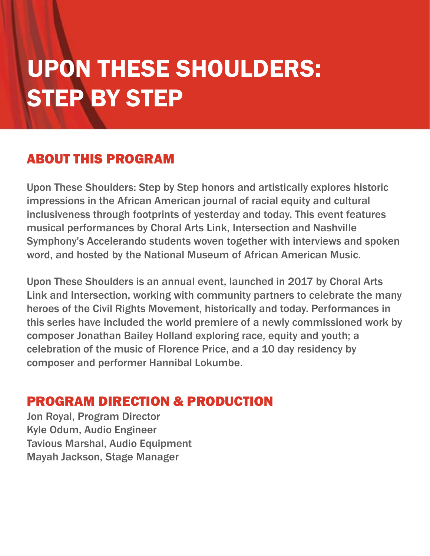# UPON THESE SHOULDERS: STEP BY STEP

# ABOUT THIS PROGRAM

Upon These Shoulders: Step by Step honors and artistically explores historic impressions in the African American journal of racial equity and cultural inclusiveness through footprints of yesterday and today. This event features musical performances by Choral Arts Link, Intersection and Nashville Symphony's Accelerando students woven together with interviews and spoken word, and hosted by the National Museum of African American Music.

Upon These Shoulders is an annual event, launched in 2017 by Choral Arts Link and Intersection, working with community partners to celebrate the many heroes of the Civil Rights Movement, historically and today. Performances in this series have included the world premiere of a newly commissioned work by composer Jonathan Bailey Holland exploring race, equity and youth; a celebration of the music of Florence Price, and a 10 day residency by composer and performer Hannibal Lokumbe.

# PROGRAM DIRECTION & PRODUCTION

Jon Royal, Program Director Kyle Odum, Audio Engineer Tavious Marshal, Audio Equipment Mayah Jackson, Stage Manager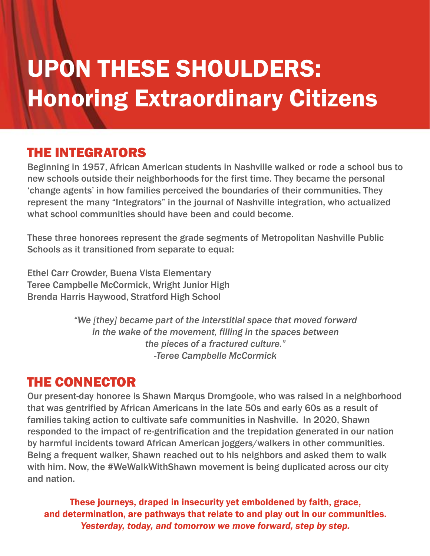# UPON THESE SHOULDERS: Honoring Extraordinary Citizens

# THE INTEGRATORS

Beginning in 1957, African American students in Nashville walked or rode a school bus to new schools outside their neighborhoods for the first time. They became the personal 'change agents' in how families perceived the boundaries of their communities. They represent the many "Integrators" in the journal of Nashville integration, who actualized what school communities should have been and could become.

These three honorees represent the grade segments of Metropolitan Nashville Public Schools as it transitioned from separate to equal:

Ethel Carr Crowder, Buena Vista Elementary Teree Campbelle McCormick, Wright Junior High Brenda Harris Haywood, Stratford High School

> *"We [they] became part of the interstitial space that moved forward in the wake of the movement, filling in the spaces between the pieces of a fractured culture." -Teree Campbelle McCormick*

# THE CONNECTOR

Our present-day honoree is Shawn Marqus Dromgoole, who was raised in a neighborhood that was gentrified by African Americans in the late 50s and early 60s as a result of families taking action to cultivate safe communities in Nashville. In 2020, Shawn responded to the impact of re-gentrification and the trepidation generated in our nation by harmful incidents toward African American joggers/walkers in other communities. Being a frequent walker, Shawn reached out to his neighbors and asked them to walk with him. Now, the #WeWalkWithShawn movement is being duplicated across our city and nation.

These journeys, draped in insecurity yet emboldened by faith, grace, and determination, are pathways that relate to and play out in our communities. *Yesterday, today, and tomorrow we move forward, step by step.*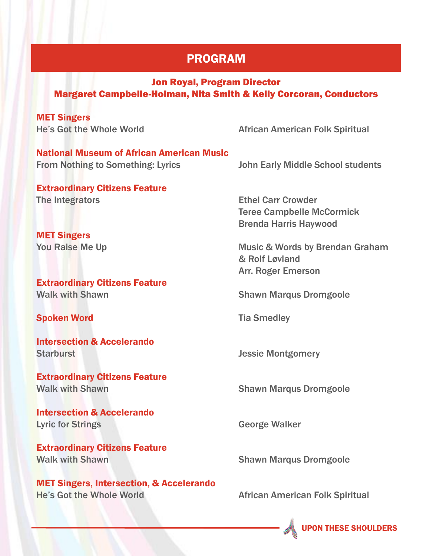## PROGRAM

#### Jon Royal, Program Director Margaret Campbelle-Holman, Nita Smith & Kelly Corcoran, Conductors

MET Singers

He's Got the Whole World **African American Folk Spiritual** 

National Museum of African American Music From Nothing to Something: Lyrics John Early Middle School students

Extraordinary Citizens Feature The Integrators **Ethel Carr Crowder** 

MET Singers

Extraordinary Citizens Feature Walk with Shawn Shawn Shawn Marqus Dromgoole

Spoken Word **Tia Smedley Tia Smedley** 

Intersection & Accelerando Starburst **Starburst** Jessie Montgomery

Extraordinary Citizens Feature Walk with Shawn Shawn Shawn Marqus Dromgoole

Intersection & Accelerando **Lyric for Strings Community Community** George Walker

Extraordinary Citizens Feature **Walk with Shawn Shawn Shawn Marqus Dromgoole** 

MET Singers, Intersection, & Accelerando He's Got the Whole World **African American Folk Spiritual** 

Teree Campbelle McCormick Brenda Harris Haywood

You Raise Me Up **Music & Words by Brendan Graham** & Rolf Løvland Arr. Roger Emerson

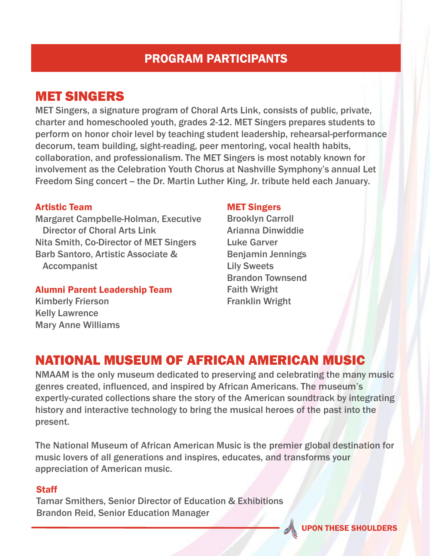# PROGRAM PARTICIPANTS

# MET SINGERS

MET Singers, a signature program of Choral Arts Link, consists of public, private, charter and homeschooled youth, grades 2-12. MET Singers prepares students to perform on honor choir level by teaching student leadership, rehearsal-performance decorum, team building, sight-reading, peer mentoring, vocal health habits, collaboration, and professionalism. The MET Singers is most notably known for involvement as the Celebration Youth Chorus at Nashville Symphony's annual Let Freedom Sing concert – the Dr. Martin Luther King, Jr. tribute held each January.

#### Artistic Team

Margaret Campbelle-Holman, Executive Director of Choral Arts Link Nita Smith, Co-Director of MET Singers Barb Santoro, Artistic Associate & Accompanist

Alumni Parent Leadership Team Kimberly Frierson Kelly Lawrence Mary Anne Williams

#### MET Singers

Brooklyn Carroll Arianna Dinwiddie Luke Garver Benjamin Jennings Lily Sweets Brandon Townsend Faith Wright Franklin Wright

# NATIONAL MUSEUM OF AFRICAN AMERICAN MUSIC

NMAAM is the only museum dedicated to preserving and celebrating the many music genres created, influenced, and inspired by African Americans. The museum's expertly-curated collections share the story of the American soundtrack by integrating history and interactive technology to bring the musical heroes of the past into the present.

The National Museum of African American Music is the premier global destination for music lovers of all generations and inspires, educates, and transforms your appreciation of American music.

#### **Staff**

Tamar Smithers, Senior Director of Education & Exhibitions Brandon Reid, Senior Education Manager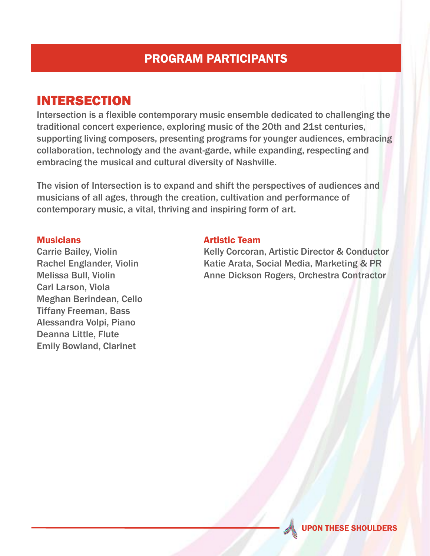# PROGRAM PARTICIPANTS

# INTERSECTION

Intersection is a flexible contemporary music ensemble dedicated to challenging the traditional concert experience, exploring music of the 20th and 21st centuries, supporting living composers, presenting programs for younger audiences, embracing collaboration, technology and the avant-garde, while expanding, respecting and embracing the musical and cultural diversity of Nashville.

The vision of Intersection is to expand and shift the perspectives of audiences and musicians of all ages, through the creation, cultivation and performance of contemporary music, a vital, thriving and inspiring form of art.

#### **Musicians**

Carrie Bailey, Violin Rachel Englander, Violin Melissa Bull, Violin Carl Larson, Viola Meghan Berindean, Cello Tiffany Freeman, Bass Alessandra Volpi, Piano Deanna Little, Flute Emily Bowland, Clarinet

#### Artistic Team

Kelly Corcoran, Artistic Director & Conductor Katie Arata, Social Media, Marketing & PR Anne Dickson Rogers, Orchestra Contractor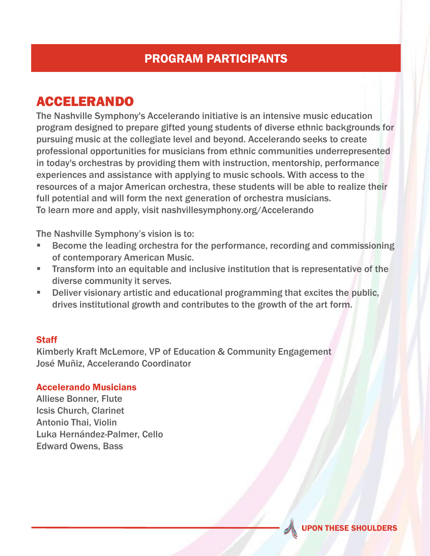# PROGRAM PARTICIPANTS

# ACCELERANDO

The Nashville Symphony's Accelerando initiative is an intensive music education program designed to prepare gifted young students of diverse ethnic backgrounds for pursuing music at the collegiate level and beyond. Accelerando seeks to create professional opportunities for musicians from ethnic communities underrepresented in today's orchestras by providing them with instruction, mentorship, performance experiences and assistance with applying to music schools. With access to the resources of a major American orchestra, these students will be able to realize their full potential and will form the next generation of orchestra musicians. To learn more and apply, visit nashvillesymphony.org/Accelerando

The Nashville Symphony's vision is to:

- Become the leading orchestra for the performance, recording and commissioning of contemporary American Music.
- **Transform into an equitable and inclusive institution that is representative of the** diverse community it serves.
- **Deliver visionary artistic and educational programming that excites the public,** drives institutional growth and contributes to the growth of the art form.

#### **Staff**

Kimberly Kraft McLemore, VP of Education & Community Engagement José Muñiz, Accelerando Coordinator

#### Accelerando Musicians

Alliese Bonner, Flute Icsis Church, Clarinet Antonio Thai, Violin Luka Hernández-Palmer, Cello Edward Owens, Bass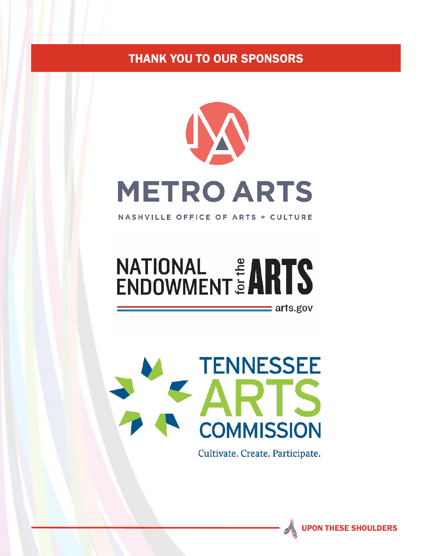# THANK YOU TO OUR SPONSORS



**NASHVILLE OFFICE OF ARTS + CULTURE** 

# **NATIONAL # ARTS**



Cultivate. Create. Participate.



 $\equiv$  arts.gov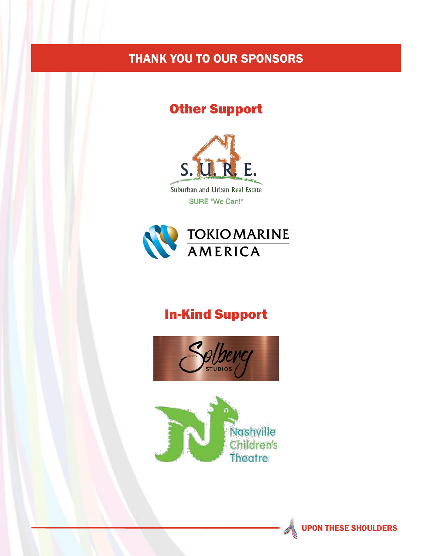# THANK YOU TO OUR SPONSORS

# Other Support



Suburban and Urban Real Estate SURE "We Can!"



# In-Kind Support